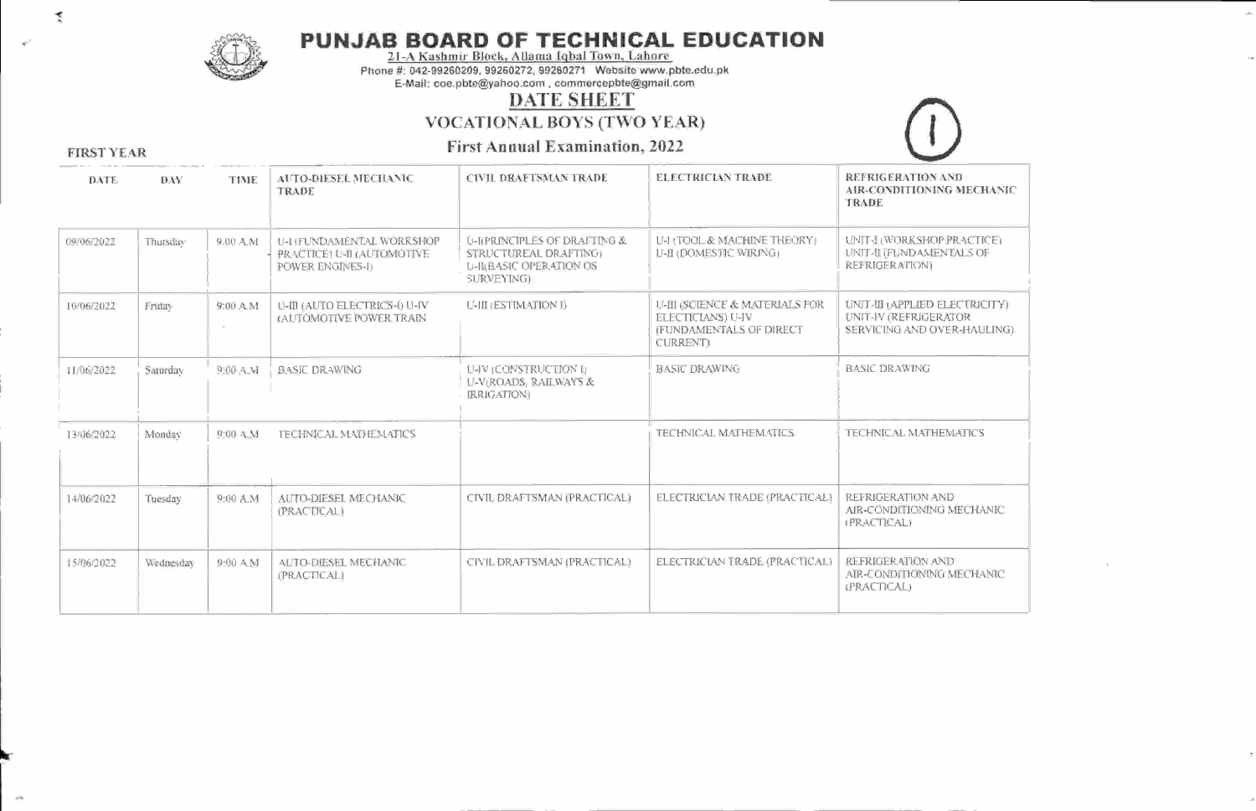

# PUNJAB BOARD OF TEGHNIGAL EDUGATION 21-A Kashmir Block. Allama Iqbal Town. Lahore

Phone #: 042-99260209, 99260272, 9926027 1 Website www.pbte.edu.pk E-Mail: coe.pbte@yahoo.com, commercepbte@gmail.com

### DATE SHEET

vocATIoNAL BOYS (TWO YEAR)

First Annual Examination. 2022



FIRST YEAR

| DATE       | DAY       | TIME                | <b>AUTO-DIESEL MECHANIC</b><br>TRADE                                        | <b>CIVIL DRAFTSMAN TRADE</b>                                                                                     | ELECTRICIAN TRADE                                                                                         | REFRIGERATION AND<br>AIR-CONDITIONING MECHANIC<br><b>TRADE</b>                         |
|------------|-----------|---------------------|-----------------------------------------------------------------------------|------------------------------------------------------------------------------------------------------------------|-----------------------------------------------------------------------------------------------------------|----------------------------------------------------------------------------------------|
| 09/06/2022 | Thursday  | 9.00 A.M            | U-I (FUNDAMENTAL WORKSHOP<br>PRACTICE: U-II (AUTOMOTIVE<br>POWER ENGINES-I) | <b>U-I(PRINCIPLES OF DRAFTING &amp;</b><br>STRUCTUREAL DRAFTING:<br><b>U-JILBASIC OPERATION OS</b><br>SURVEYING) | U-HITOOL & MACHINE THEORY)<br>L'-II (DOMESTIC WIRING)                                                     | UNIT-I (WORKSHOP PRACTICE)<br><b>UNIT-II (FUNDAMENTALS OF</b><br><b>REFRIGERATIONI</b> |
| 10/06/2022 | Friday    | $9:00 \, \text{AM}$ | U-III (AUTO ELECTRICS-I) U-IV<br>(AUTOMOTIVE POWER TRAIN                    | U-III (ESTIMATION I)                                                                                             | U-III (SCIENCE & MATERIALS FOR<br><b>ELECTICIANS</b> ) U-IV<br><b>IFUNDAMENTALS OF DIRECT</b><br>CURRENT) | UNIT-WI (APPLIED ELECTRICITY)<br>UNIT-IV (REFRIGERATOR<br>SERVICING AND OVER-HAULING). |
| 11/06/2022 | Saturday  | 9:00 A.M            | <b>BASIC DRAWING</b>                                                        | LHV (CONSTRUCTION I)<br><b>LI-V(ROADS, RAILWAYS &amp;</b><br><b>IRRIGATION</b>                                   | <b>BASIC DRAWING</b>                                                                                      | <b>BASIC DRAWING</b>                                                                   |
| 13/06/2022 | Monday    | 9:00 A.M.           | <b>TECHNICAL MATHEMATICS</b>                                                |                                                                                                                  | TECHNICAL MATHEMATICS.                                                                                    | TECHNICAL MATHEMATICS                                                                  |
| 14/06/2022 | Tuesday   | 9:00 A.M            | AUTO-DIESEL MECHANIC<br>(PRACTICAL)                                         | CIVIL DRAFTSMAN (PRACTICAL)                                                                                      | ELECTRICIAN TRADE (PRACTICAL)                                                                             | REFRIGERATION AND<br>AIR-CONDITIONING MECHANIC<br>(PRACTICAL)                          |
| 15/06/2022 | Wednesday | 9:00 A M            | AUTO-DIESEL MECHANIC<br>(PRACTICAL)                                         | CIVIL DRAFTSMAN (PRACTICAL)                                                                                      | ELECTRICIAN TRADE (PRACTICAL)                                                                             | REFRIGER ATION AND<br>AIR-CONDITIONING MECHANIC<br>LPRACTICAL)                         |

k

L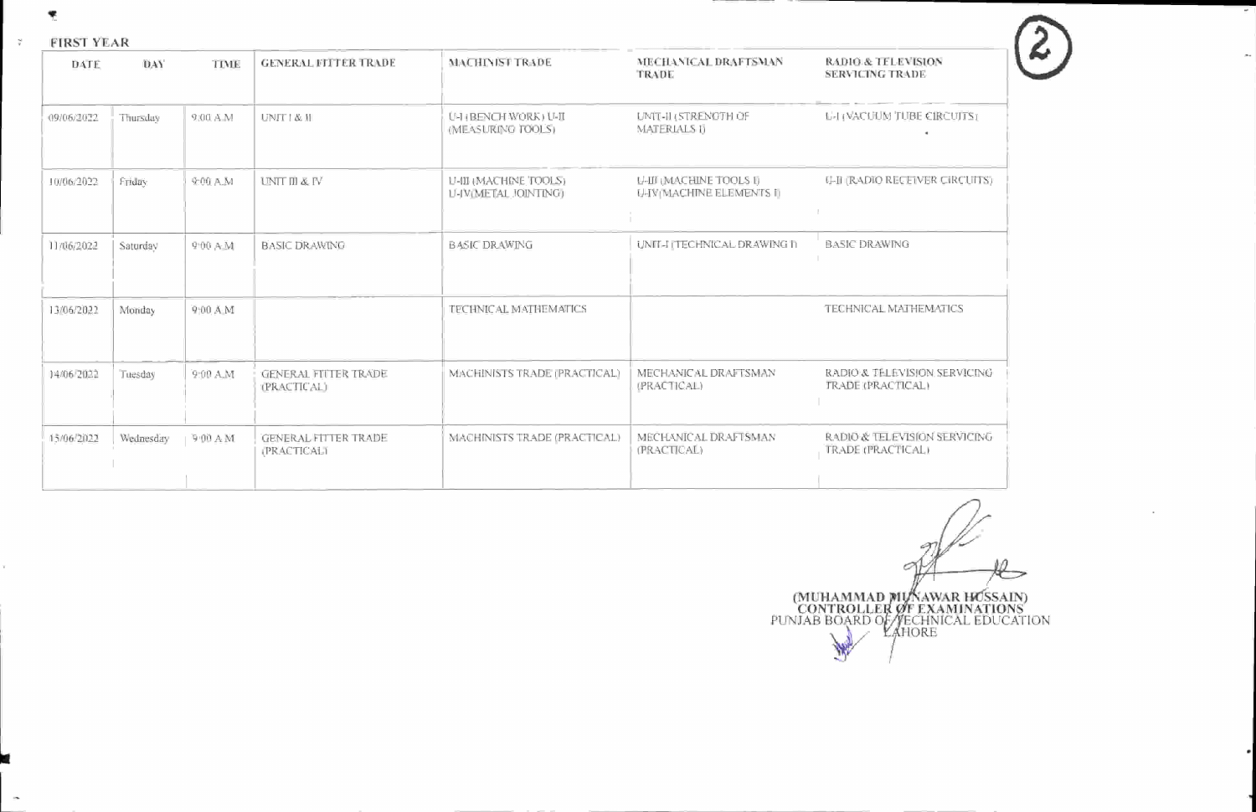!

#### FIRSTYEAR  $\frac{2\pi}{3}$  .

| DATE       | DAY       | TIME      | <b>GENERAL FITTER TRADE</b>                       | <b>MACHINIST TRADE</b>                               | MECHANICAL DRAFTSMAN<br>TRADE                              | <b>RADIO &amp; TELEVISION</b><br><b>SERVICING TRADE</b>  |
|------------|-----------|-----------|---------------------------------------------------|------------------------------------------------------|------------------------------------------------------------|----------------------------------------------------------|
| 09/06/2022 | Thursday  | 9.00 A.M  | UNIT   & II                                       | U-H (BENCH WORK) U-II<br>(MEASURING TOOLS)           | UNIT-II (STRENGTH OF<br><b>MATERIALS I)</b>                | <b>LEI (VACUUM TUBE CIRCUITS)</b>                        |
| 10/06/2022 | Friday    | 9:00 A.M  | UNIT III & IV                                     | U-III (MACHINE TOOLS)<br><b>U-IV(METAL JOINTING)</b> | <b>U-III (MACHINE TOOLS I)</b><br>U-IVIMACHINE ELEMENTS II | <b>U-II (RADIO RECEIVER CIRCUITS)</b>                    |
| 11/06/2022 | Saturday  | 9:00 A.M. | <b>BASIC DRAWING</b>                              | <b>BASIC DRAWING</b>                                 | UNIT-I ITECHNICAL DRAWING IT                               | <b>BASIC DRAWING</b>                                     |
| 13/06/2022 | Monday    | 9:00 A M  |                                                   | TECHNICAL MATHEMATICS                                |                                                            | TECHNICAL MATHEMATICS                                    |
| 14/06/2022 | Tuesday   | 9:00 A.M  | <b>GENERAL FILTER TRADE</b><br><b>(PRACTICAL)</b> | MACHINISTS TRADE (PRACTICAL)                         | MECHANICAL DRAFTSMAN<br>(PRACTICAL)                        | RADIO & TELEVISION SERVICING<br>TRADE (PRACTICAL)        |
| 15/06/2022 | Wednesday | 9.00 A M  | <b>GENERAL FITTER TRADE</b><br><b>PRACTICALT</b>  | MACHINISTS TRADE (PRACTICAL)                         | MECHANICAL DRAFTSMAN<br>(PRACTICAL)                        | RADIO & TELEVISION SERVICING<br><b>TRADE (PRACTICAL)</b> |

Ò (MUHAMMAI) (MUHAMMAD MUNAWAR HOSSAIN)<br>
CONTROLLER OF EXAMINATIONS<br>
PUNJAB BOARD OF TECHNICAL EDUCATION<br>
LAHORE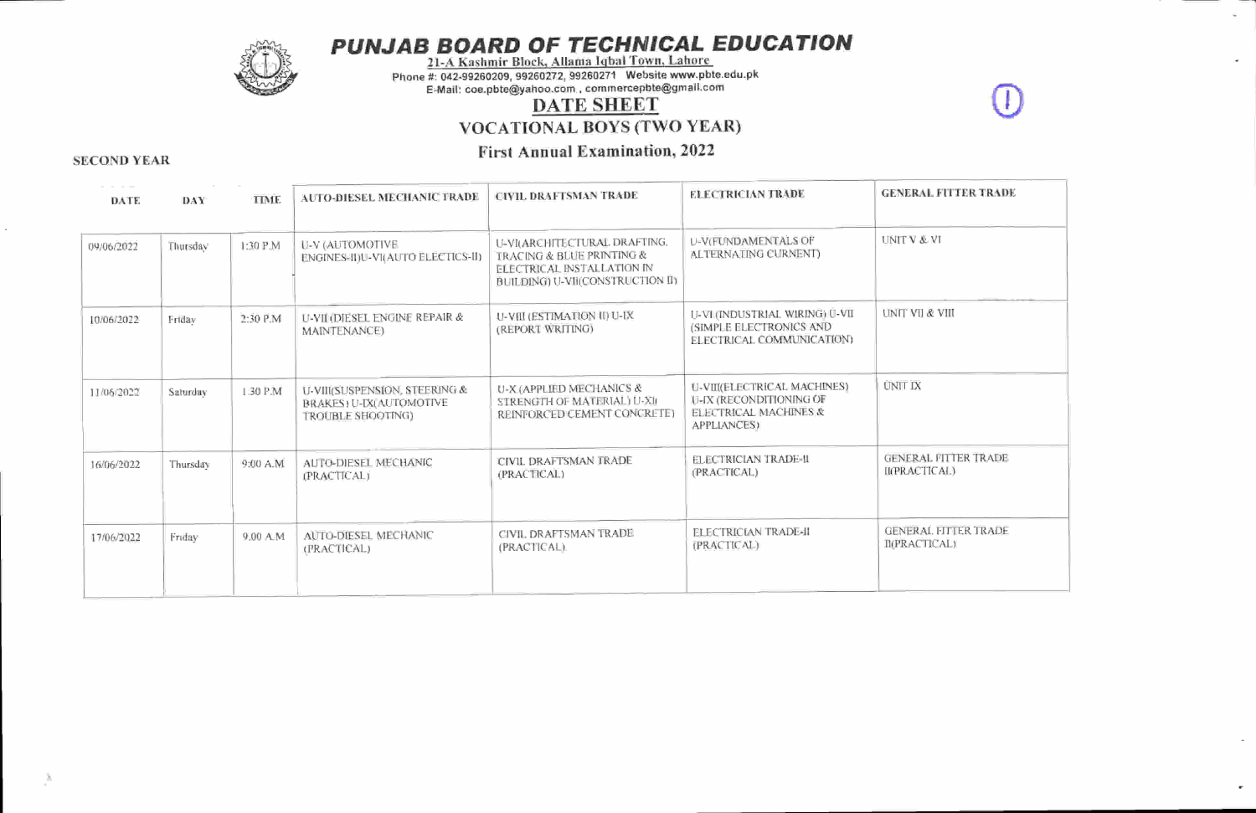

PUNJAB BOARD OF TECHNICAL EDUCATION<br>21-A Kashmir Block, Allama Iqbal Town, Lahore

Phone #: 042-99260209, 99260272, 99260271 Website www.pbte.edu.pk

E-Mail: coe.pbte@yahoo.com, commercepbte@gmail'com

## DATE SHEET

vocATIoNAL BOYS (TWO YEAR)

## First Annual Examination, <sup>2022</sup> SECOND YEAR

| DATE       | DAY.     | TIME      | AUTO-DIESEL MECHANIC TRADE                                                           | CIVIL DRAFTSMAN TRADE                                                                                                              | ELECTRICIAN TRADE                                                                                     | <b>GENERAL FUTER TRADE</b>                   |
|------------|----------|-----------|--------------------------------------------------------------------------------------|------------------------------------------------------------------------------------------------------------------------------------|-------------------------------------------------------------------------------------------------------|----------------------------------------------|
| 09/06/2022 | Thursday | 1:30 P.M  | U-V (AUTOMOTIVE<br>ENGINES-II)U-VI(AUTO ELECTICS-II)                                 | <b>U-VI(ARCHITECTURAL DRAFTING.</b><br>TRACING & BLUE PRINTING &<br>ELECTRICAL INSTALLATION IN<br>BUILDING) U-VII(CONSTRUCTION II) | <b>U-V(FUNDAMENTALS OF</b><br>ALTERNATING CURNENT)                                                    | <b>UNIT V &amp; VI</b>                       |
| 10/06/2022 | Friday   | 2:30 P.M  | U-VII (DIESEL ENGINE REPAIR &<br>MAINTENANCE)                                        | U-VIII (ESTIMATION II) U-IX<br>(REPORT WRITING)                                                                                    | U-VI (INDUSTRIAL WIRING) U-VII<br>(SIMPLE ELECTRONICS AND<br><b>ELECTRICAL COMMUNICATION)</b>         | <b>UNIT VII &amp; VIII</b>                   |
| 11/06/2022 | Saturday | 1:30 P.M  | U-VIII(SUSPENSION, STEERING &<br><b>BRAKES: U-IX(AUTOMOTIVE</b><br>TROUBLE SHOOTING) | U-X (APPLIED MECHANICS &<br>STRENGTH OF MATERIAL) U-XI<br>REINFORCED CEMENT CONCRETE)                                              | U-VII(ELECTRICAL MACHINES)<br>U-IX (RECONDITIONING OF<br>ELECTRICAL MACHINES &<br><b>APPLIANCES</b> ) | <b>UNIT IX</b>                               |
| 16/06/2022 | Thursday | 9:00 A.M. | AUTO-DIESEL MECHANIC<br>(PRACTICAL)                                                  | CIVIL DRAFTSMAN TRADE<br>(PRACTICAL)                                                                                               | ELECTRICIAN TRADE-II<br>(PRACTICAL)                                                                   | <b>GENERAL FITTER TRADE</b><br>II(PRACTICAL) |
| 17/06/2022 | Friday   | 9.00 A M  | AUTO-DIESEL MECHANIC<br>(FRACTICAL)                                                  | CIVIL DRAFTSMAN TRADE<br>(PRACTICAL).                                                                                              | <b>FLECTRICIAN TRADE-II</b><br>(PRACTICAL)                                                            | GENERAL FITTER TRADE<br><b>IMPRACTICAL)</b>  |